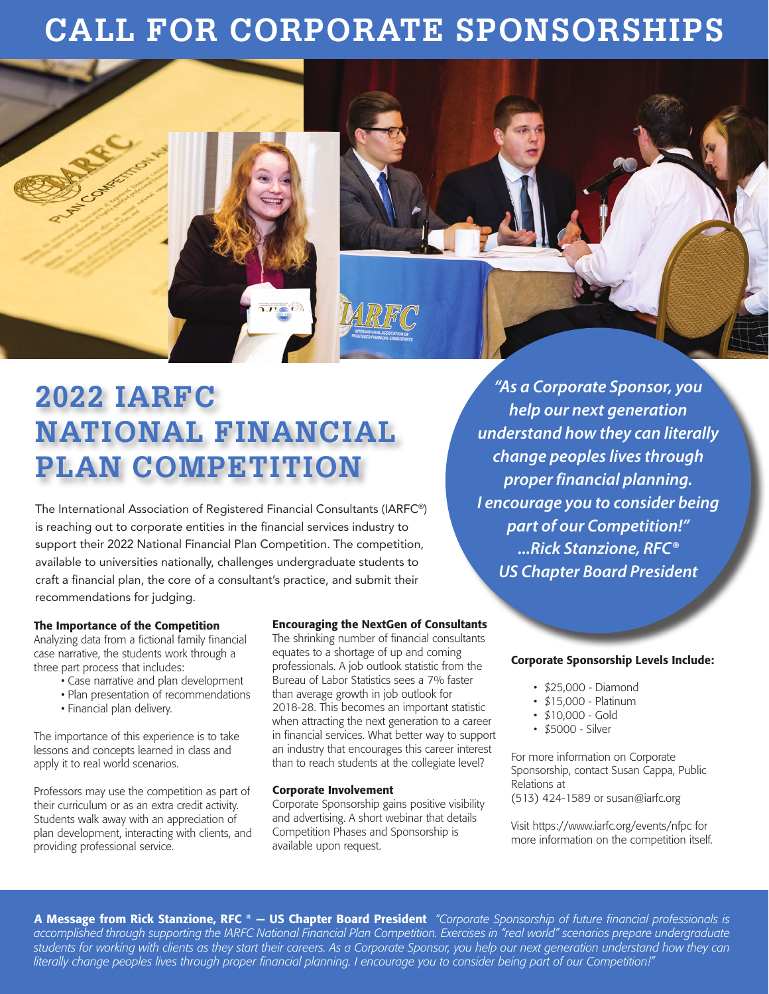# **CALL FOR CORPORATE SPONSORSHIPS**



The International Association of Registered Financial Consultants (IARFC®) is reaching out to corporate entities in the financial services industry to support their 2022 National Financial Plan Competition. The competition, available to universities nationally, challenges undergraduate students to craft a financial plan, the core of a consultant's practice, and submit their recommendations for judging.

## The Importance of the Competition

Analyzing data from a fictional family financial case narrative, the students work through a three part process that includes:

- Case narrative and plan development
- Plan presentation of recommendations
- Financial plan delivery.

The importance of this experience is to take lessons and concepts learned in class and apply it to real world scenarios.

Professors may use the competition as part of their curriculum or as an extra credit activity. Students walk away with an appreciation of plan development, interacting with clients, and providing professional service.

## Encouraging the NextGen of Consultants

The shrinking number of financial consultants equates to a shortage of up and coming professionals. A job outlook statistic from the Bureau of Labor Statistics sees a 7% faster than average growth in job outlook for 2018-28. This becomes an important statistic when attracting the next generation to a career in financial services. What better way to support an industry that encourages this career interest than to reach students at the collegiate level?

## Corporate Involvement

Corporate Sponsorship gains positive visibility and advertising. A short webinar that details Competition Phases and Sponsorship is available upon request.

*"As a Corporate Sponsor, you help our next generation understand how they can literally change peoples lives through proper financial planning. I encourage you to consider being part of our Competition!" ...Rick Stanzione, RFC® US Chapter Board President*

## Corporate Sponsorship Levels Include:

- \$25,000 Diamond
- \$15,000 Platinum
- \$10,000 Gold
- \$5000 Silver

For more information on Corporate Sponsorship, contact Susan Cappa, Public Relations at (513) 424-1589 or susan@iarfc.org

Visit https://www.iarfc.org/events/nfpc for more information on the competition itself.

A Message from Rick Stanzione, RFC ® - US Chapter Board President *"Corporate Sponsorship of future financial professionals is accomplished through supporting the IARFC National Financial Plan Competition. Exercises in "real world" scenarios prepare undergraduate students for working with clients as they start their careers. As a Corporate Sponsor, you help our next generation understand how they can literally change peoples lives through proper financial planning. I encourage you to consider being part of our Competition!"*